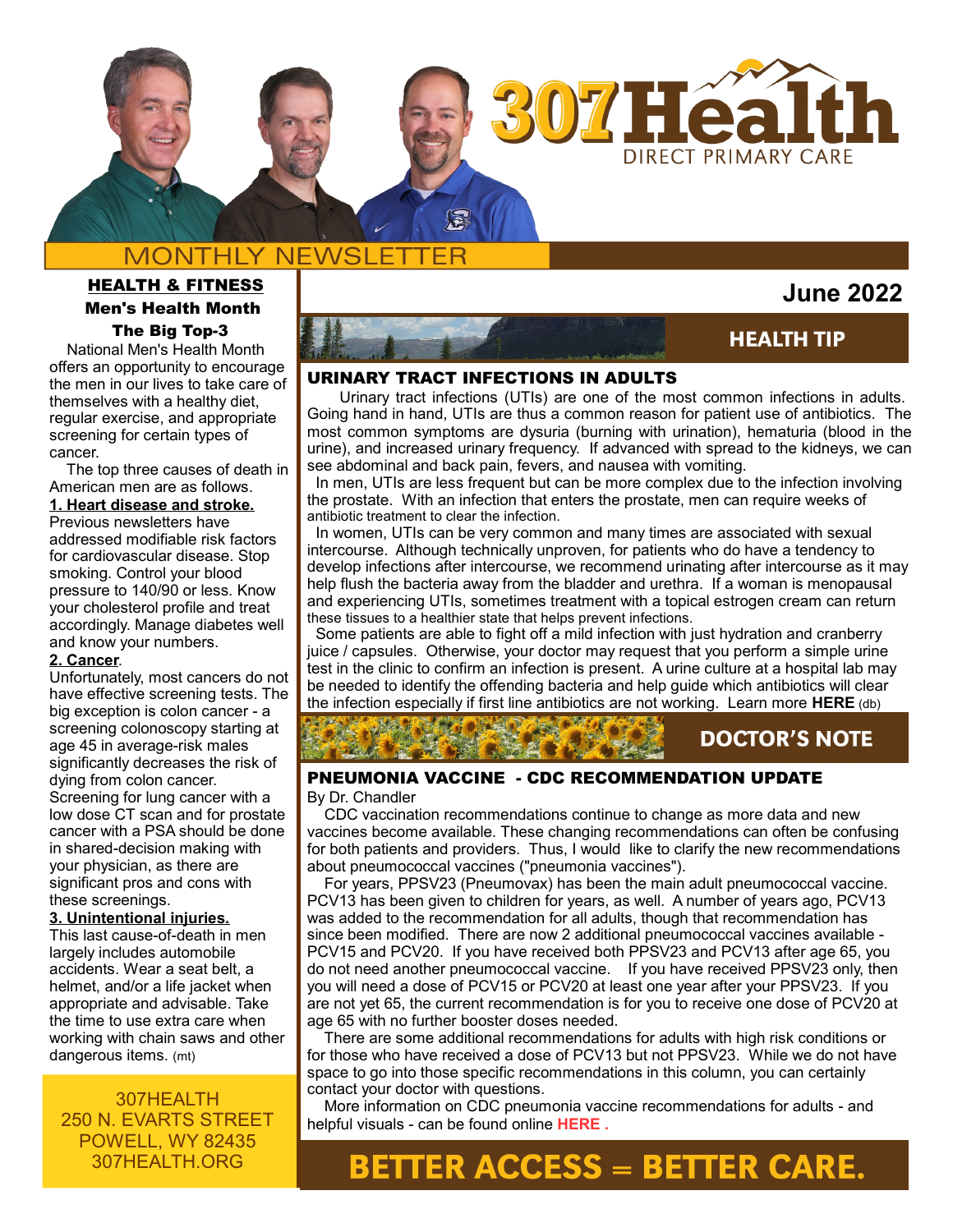

# **MONTHLY NEWSLETTER**

## HEALTH & FITNESS Men's Health Month The Big Top-3

 National Men's Health Month offers an opportunity to encourage the men in our lives to take care of themselves with a healthy diet, regular exercise, and appropriate screening for certain types of cancer.

 The top three causes of death in American men are as follows.

**1. Heart disease and stroke.** Previous newsletters have addressed modifiable risk factors for cardiovascular disease. Stop smoking. Control your blood pressure to 140/90 or less. Know

your cholesterol profile and treat accordingly. Manage diabetes well and know your numbers.

## **2. Cancer**.

Unfortunately, most cancers do not have effective screening tests. The big exception is colon cancer - a screening colonoscopy starting at age 45 in average-risk males significantly decreases the risk of dying from colon cancer. Screening for lung cancer with a low dose CT scan and for prostate cancer with a PSA should be done in shared-decision making with your physician, as there are significant pros and cons with these screenings.

### **3. Unintentional injuries.**

This last cause-of-death in men largely includes automobile accidents. Wear a seat belt, a helmet, and/or a life jacket when appropriate and advisable. Take the time to use extra care when working with chain saws and other dangerous items. (mt)

307HEALTH 250 N. EVARTS STREET POWELL, WY 82435 307HEALTH.ORG



# **HEALTH TIP**

 **June 2022**

### URINARY TRACT INFECTIONS IN ADULTS

 Urinary tract infections (UTIs) are one of the most common infections in adults. Going hand in hand, UTIs are thus a common reason for patient use of antibiotics. The most common symptoms are dysuria (burning with urination), hematuria (blood in the urine), and increased urinary frequency. If advanced with spread to the kidneys, we can see abdominal and back pain, fevers, and nausea with vomiting.

 In men, UTIs are less frequent but can be more complex due to the infection involving the prostate. With an infection that enters the prostate, men can require weeks of antibiotic treatment to clear the infection.

 In women, UTIs can be very common and many times are associated with sexual intercourse. Although technically unproven, for patients who do have a tendency to develop infections after intercourse, we recommend urinating after intercourse as it may help flush the bacteria away from the bladder and urethra. If a woman is menopausal and experiencing UTIs, sometimes treatment with a topical estrogen cream can return these tissues to a healthier state that helps prevent infections.

 Some patients are able to fight off a mild infection with just hydration and cranberry juice / capsules. Otherwise, your doctor may request that you perform a simple urine test in the clinic to confirm an infection is present. A urine culture at a hospital lab may be needed to identify the offending bacteria and help guide which antibiotics will clear the infection especially if first line antibiotics are not working. Learn more **[HERE](https://www.uptodate.com/contents/urinary-tract-infections-in-adolescents-and-adults-beyond-the-basics?search=urinary%20tract%20infection%20adult&source=search_result&selectedTitle=1~47&usage_type=default&display_rank=1)** (db)

## **DOCTOR'S NOTE**

### PNEUMONIA VACCINE - CDC RECOMMENDATION UPDATE

#### By Dr. Chandler

**TOOK A CONTROLLED** 

 CDC vaccination recommendations continue to change as more data and new vaccines become available. These changing recommendations can often be confusing for both patients and providers. Thus, I would like to clarify the new recommendations about pneumococcal vaccines ("pneumonia vaccines").

 For years, PPSV23 (Pneumovax) has been the main adult pneumococcal vaccine. PCV13 has been given to children for years, as well. A number of years ago, PCV13 was added to the recommendation for all adults, though that recommendation has since been modified. There are now 2 additional pneumococcal vaccines available - PCV15 and PCV20. If you have received both PPSV23 and PCV13 after age 65, you do not need another pneumococcal vaccine. If you have received PPSV23 only, then you will need a dose of PCV15 or PCV20 at least one year after your PPSV23. If you are not yet 65, the current recommendation is for you to receive one dose of PCV20 at age 65 with no further booster doses needed.

 There are some additional recommendations for adults with high risk conditions or for those who have received a dose of PCV13 but not PPSV23. While we do not have space to go into those specific recommendations in this column, you can certainly contact your doctor with questions.

 More information on CDC pneumonia vaccine recommendations for adults - and helpful visuals - can be found online **[HERE](https://www.cdc.gov/vaccines/vpd/pneumo/downloads/pneumo-vaccine-timing.pdf) .**

# **BETTER ACCESS = BETTER CARE.**